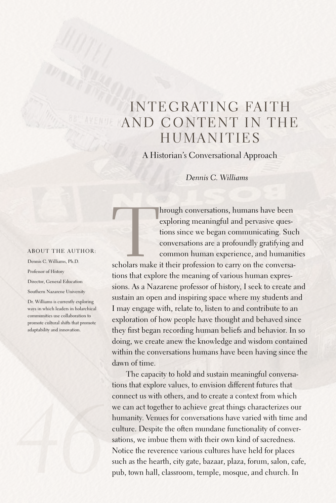## INTEGRATING FAITH AND CONTENT IN THE **HUMANITIES**

A Historian's Conversational Approach

*Dennis C. Williams*

## ABOUT THE AUTHOR:

Dennis C. Williams, Ph.D. Professor of History Director, General Education Southern Nazarene University

Dr. Williams is currently exploring ways in which leaders in holarchical communities use collaboration to promote cultural shifts that promote adaptability and innovation.

hrough conversations, humans have been<br>exploring meaningful and pervasive ques-<br>tions since we began communicating. Sue<br>conversations are a profoundly gratifying a<br>common human experience, and humanit<br>scholars make it thei exploring meaningful and pervasive questions since we began communicating. Such conversations are a profoundly gratifying and common human experience, and humanities

tions that explore the meaning of various human expressions.As a Nazarene professor of history, I seek to create and sustain an open and inspiring space where my students and I may engage with, relate to, listen to and contribute to an exploration of how people have thought and behaved since they first began recording human beliefs and behavior. In so doing, we create anew the knowledge and wisdom contained within the conversations humans have been having since the dawn of time.

The capacity to hold and sustain meaningful conversations that explore values, to envision different futures that connect us with others, and to create a context from which we can act together to achieve great things characterizes our humanity. Venues for conversations have varied with time and culture. Despite the often mundane functionality of conversations, we imbue them with their own kind of sacredness. Notice the reverence various cultures have held for places such as the hearth, city gate, bazaar, plaza, forum, salon, cafe, pub, town hall, classroom, temple, mosque, and church. In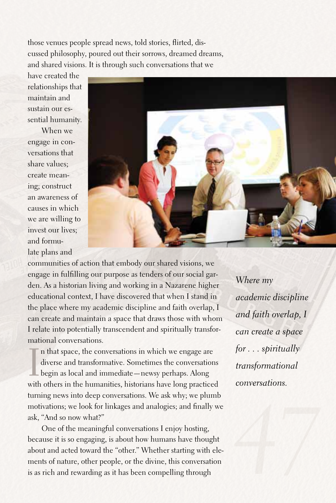those venues people spread news, told stories, flirted, discussed philosophy, poured out their sorrows, dreamed dreams, and shared visions. It is through such conversations that we

have created the relationships that maintain and sustain our essential humanity.

When we engage in conversations that share values; create meaning; construct an awareness of causes in which we are willing to invest our lives; and formulate plans and



communities of action that embody our shared visions, we engage in fulfilling our purpose as tenders of our social garden.As a historian living and working in a Nazarene higher educational context, I have discovered that when I stand in the place where my academic discipline and faith overlap, I can create and maintain a space that draws those with whom I relate into potentially transcendent and spiritually transformational conversations.

In that space, the conversations in which we engage are diverse and transformative. Sometimes the conversations begin as local and immediate—newsy perhaps. Along with others in the humanities, historians have long practice n that space, the conversations in which we engage are diverse and transformative. Sometimes the conversations begin as local and immediate—newsy perhaps.Along turning news into deep conversations. We ask why; we plumb motivations; we look for linkages and analogies; and finally we ask, "And so now what?"

One of the meaningful conversations I enjoy hosting, because it is so engaging, is about how humans have thought about and acted toward the "other." Whether starting with elements of nature, other people, or the divine, this conversation is as rich and rewarding as it has been compelling through

*Where my academic discipline and faith overlap, I can create a space for . . . spiritually transformational conversations.*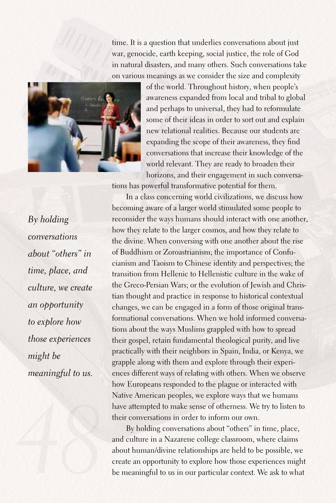time. It is a question that underlies conversations about just war, genocide, earth keeping, social justice, the role of God in natural disasters, and many others. Such conversations take on various meanings as we consider the size and complexity



of the world. Throughout history, when people's awareness expanded from local and tribal to global and perhaps to universal, they had to reformulate some of their ideas in order to sort out and explain new relational realities. Because our students are expanding the scope of their awareness, they find conversations that increase their knowledge of the world relevant. They are ready to broaden their horizons, and their engagement in such conversa-

tions has powerful transformative potential for them.

*By holding conversations about "others" in time, place, and culture, we create an opportunity to explore how those experiences might be meaningful to us.*

In a class concerning world civilizations, we discuss how becoming aware of a larger world stimulated some people to reconsider the ways humans should interact with one another, how they relate to the larger cosmos, and how they relate to the divine. When conversing with one another about the rise of Buddhism or Zoroastrianism; the importance of Confucianism and Taoism to Chinese identity and perspectives; the transition from Hellenic to Hellenistic culture in the wake of the Greco-Persian Wars; or the evolution of Jewish and Christian thought and practice in response to historical contextual changes, we can be engaged in a form of those original transformational conversations. When we hold informed conversations about the ways Muslims grappled with how to spread their gospel, retain fundamental theological purity, and live practically with their neighbors in Spain, India, or Kenya, we grapple along with them and explore through their experiences different ways of relating with others. When we observe how Europeans responded to the plague or interacted with Native American peoples, we explore ways that we humans have attempted to make sense of otherness. We try to listen to their conversations in order to inform our own.

By holding conversations about "others" in time, place, and culture in a Nazarene college classroom, where claims about human/divine relationships are held to be possible, we create an opportunity to explore how those experiences might be meaningful to us in our particular context. We ask to what